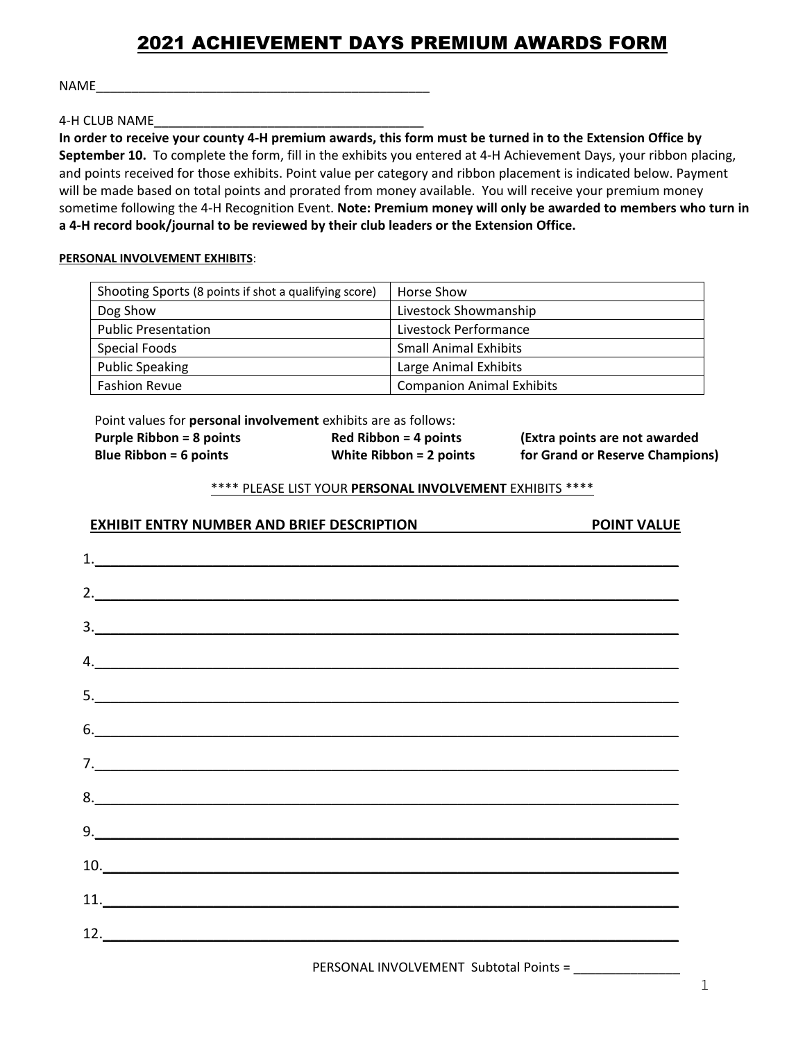# 2021 ACHIEVEMENT DAYS PREMIUM AWARDS FORM

NAME\_\_\_\_\_\_\_\_\_\_\_\_\_\_\_\_\_\_\_\_\_\_\_\_\_\_\_\_\_\_\_\_\_\_\_\_\_\_\_\_\_\_\_\_\_\_\_

4-H CLUB NAME\_\_\_\_\_\_\_\_\_\_\_\_\_\_\_\_\_\_\_\_\_\_\_\_\_\_\_\_\_\_\_\_\_\_\_\_\_\_

**In order to receive your county 4-H premium awards, this form must be turned in to the Extension Office by September 10.** To complete the form, fill in the exhibits you entered at 4-H Achievement Days, your ribbon placing, and points received for those exhibits. Point value per category and ribbon placement is indicated below. Payment will be made based on total points and prorated from money available. You will receive your premium money sometime following the 4-H Recognition Event. **Note: Premium money will only be awarded to members who turn in a 4-H record book/journal to be reviewed by their club leaders or the Extension Office.**

### **PERSONAL INVOLVEMENT EXHIBITS**:

| Shooting Sports (8 points if shot a qualifying score) | Horse Show                       |
|-------------------------------------------------------|----------------------------------|
| Dog Show                                              | Livestock Showmanship            |
| <b>Public Presentation</b>                            | Livestock Performance            |
| Special Foods                                         | <b>Small Animal Exhibits</b>     |
| <b>Public Speaking</b>                                | Large Animal Exhibits            |
| <b>Fashion Revue</b>                                  | <b>Companion Animal Exhibits</b> |

Point values for **personal involvement** exhibits are as follows:

| <b>Purple Ribbon = 8 points</b> | $Red Ribbon = 4 points$   | (Extra points are not awarded   |
|---------------------------------|---------------------------|---------------------------------|
| Blue Ribbon = $6$ points        | White Ribbon $= 2$ points | for Grand or Reserve Champions) |

## \*\*\*\* PLEASE LIST YOUR **PERSONAL INVOLVEMENT** EXHIBITS \*\*\*\*

# **EXHIBIT ENTRY NUMBER AND BRIEF DESCRIPTION POINT VALUE**

| 2.                                               |  |
|--------------------------------------------------|--|
| $\frac{3}{2}$                                    |  |
| $\mathcal{A}$ .                                  |  |
| 5.                                               |  |
| 6.                                               |  |
| 7.                                               |  |
|                                                  |  |
| 9.                                               |  |
| $\begin{array}{c} \hline \text{10.} \end{array}$ |  |
| 11.                                              |  |
| $\frac{12.}{2}$                                  |  |
|                                                  |  |